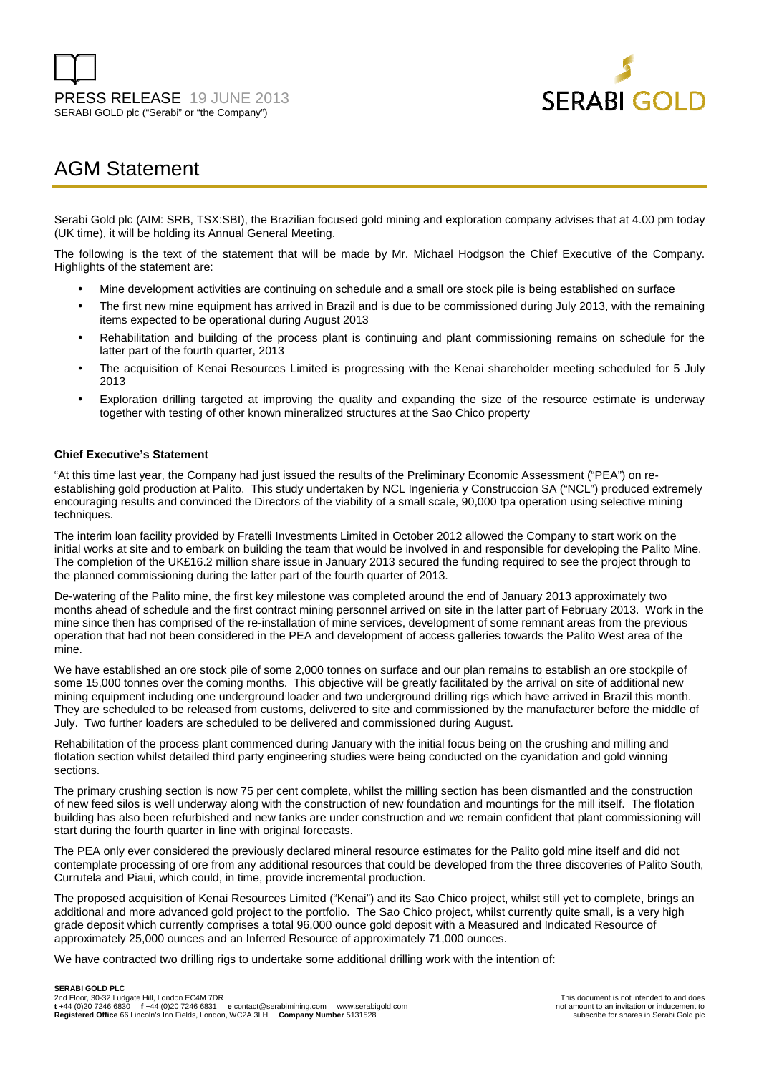



# AGM Statement

Serabi Gold plc (AIM: SRB, TSX:SBI), the Brazilian focused gold mining and exploration company advises that at 4.00 pm today (UK time), it will be holding its Annual General Meeting.

The following is the text of the statement that will be made by Mr. Michael Hodgson the Chief Executive of the Company. Highlights of the statement are:

- Mine development activities are continuing on schedule and a small ore stock pile is being established on surface
- The first new mine equipment has arrived in Brazil and is due to be commissioned during July 2013, with the remaining items expected to be operational during August 2013
- Rehabilitation and building of the process plant is continuing and plant commissioning remains on schedule for the latter part of the fourth quarter, 2013
- The acquisition of Kenai Resources Limited is progressing with the Kenai shareholder meeting scheduled for 5 July 2013
- Exploration drilling targeted at improving the quality and expanding the size of the resource estimate is underway together with testing of other known mineralized structures at the Sao Chico property

## **Chief Executive's Statement**

"At this time last year, the Company had just issued the results of the Preliminary Economic Assessment ("PEA") on reestablishing gold production at Palito. This study undertaken by NCL Ingenieria y Construccion SA ("NCL") produced extremely encouraging results and convinced the Directors of the viability of a small scale, 90,000 tpa operation using selective mining techniques.

The interim loan facility provided by Fratelli Investments Limited in October 2012 allowed the Company to start work on the initial works at site and to embark on building the team that would be involved in and responsible for developing the Palito Mine. The completion of the UK£16.2 million share issue in January 2013 secured the funding required to see the project through to the planned commissioning during the latter part of the fourth quarter of 2013.

De-watering of the Palito mine, the first key milestone was completed around the end of January 2013 approximately two months ahead of schedule and the first contract mining personnel arrived on site in the latter part of February 2013. Work in the mine since then has comprised of the re-installation of mine services, development of some remnant areas from the previous operation that had not been considered in the PEA and development of access galleries towards the Palito West area of the mine.

We have established an ore stock pile of some 2,000 tonnes on surface and our plan remains to establish an ore stockpile of some 15,000 tonnes over the coming months. This objective will be greatly facilitated by the arrival on site of additional new mining equipment including one underground loader and two underground drilling rigs which have arrived in Brazil this month. They are scheduled to be released from customs, delivered to site and commissioned by the manufacturer before the middle of July. Two further loaders are scheduled to be delivered and commissioned during August.

Rehabilitation of the process plant commenced during January with the initial focus being on the crushing and milling and flotation section whilst detailed third party engineering studies were being conducted on the cyanidation and gold winning sections.

The primary crushing section is now 75 per cent complete, whilst the milling section has been dismantled and the construction of new feed silos is well underway along with the construction of new foundation and mountings for the mill itself. The flotation building has also been refurbished and new tanks are under construction and we remain confident that plant commissioning will start during the fourth quarter in line with original forecasts.

The PEA only ever considered the previously declared mineral resource estimates for the Palito gold mine itself and did not contemplate processing of ore from any additional resources that could be developed from the three discoveries of Palito South, Currutela and Piaui, which could, in time, provide incremental production.

The proposed acquisition of Kenai Resources Limited ("Kenai") and its Sao Chico project, whilst still yet to complete, brings an additional and more advanced gold project to the portfolio. The Sao Chico project, whilst currently quite small, is a very high grade deposit which currently comprises a total 96,000 ounce gold deposit with a Measured and Indicated Resource of approximately 25,000 ounces and an Inferred Resource of approximately 71,000 ounces.

We have contracted two drilling rigs to undertake some additional drilling work with the intention of: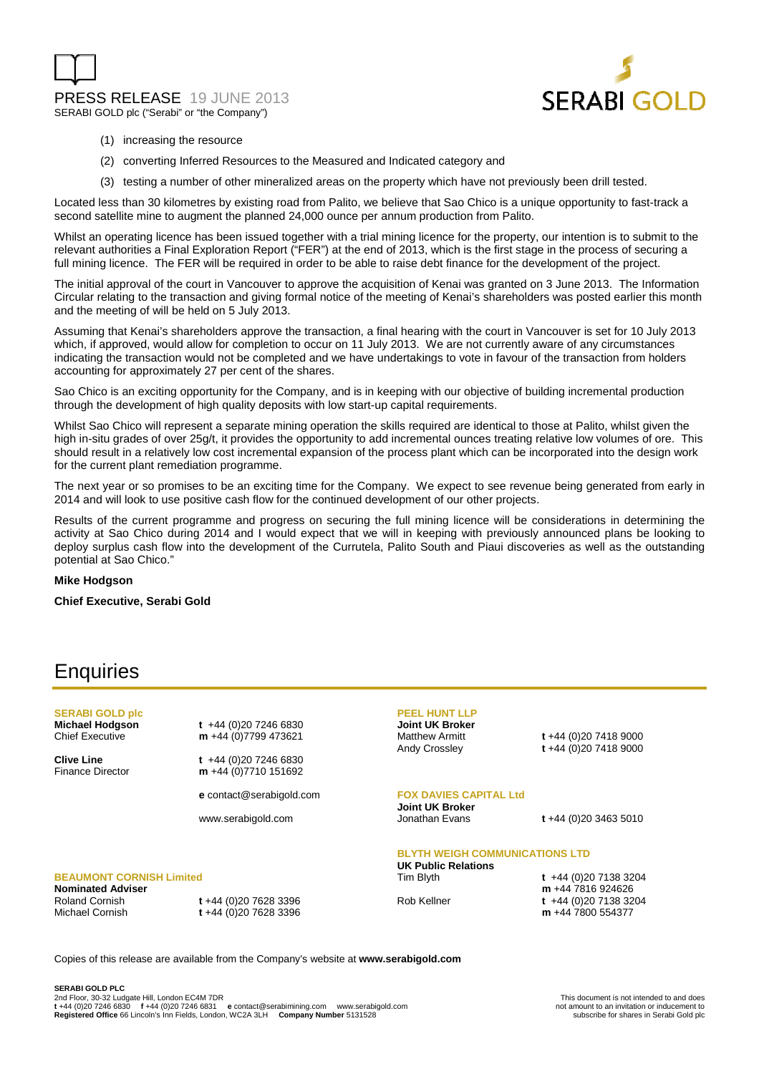# PRESS RELEASE 19 JUNE 2013 SERABI GOLD plc ("Serabi" or "the Company")



- (1) increasing the resource
- (2) converting Inferred Resources to the Measured and Indicated category and
- (3) testing a number of other mineralized areas on the property which have not previously been drill tested.

Located less than 30 kilometres by existing road from Palito, we believe that Sao Chico is a unique opportunity to fast-track a second satellite mine to augment the planned 24,000 ounce per annum production from Palito.

Whilst an operating licence has been issued together with a trial mining licence for the property, our intention is to submit to the relevant authorities a Final Exploration Report ("FER") at the end of 2013, which is the first stage in the process of securing a full mining licence. The FER will be required in order to be able to raise debt finance for the development of the project.

The initial approval of the court in Vancouver to approve the acquisition of Kenai was granted on 3 June 2013. The Information Circular relating to the transaction and giving formal notice of the meeting of Kenai's shareholders was posted earlier this month and the meeting of will be held on 5 July 2013.

Assuming that Kenai's shareholders approve the transaction, a final hearing with the court in Vancouver is set for 10 July 2013 which, if approved, would allow for completion to occur on 11 July 2013. We are not currently aware of any circumstances indicating the transaction would not be completed and we have undertakings to vote in favour of the transaction from holders accounting for approximately 27 per cent of the shares.

Sao Chico is an exciting opportunity for the Company, and is in keeping with our objective of building incremental production through the development of high quality deposits with low start-up capital requirements.

Whilst Sao Chico will represent a separate mining operation the skills required are identical to those at Palito, whilst given the high in-situ grades of over 25g/t, it provides the opportunity to add incremental ounces treating relative low volumes of ore. This should result in a relatively low cost incremental expansion of the process plant which can be incorporated into the design work for the current plant remediation programme.

The next year or so promises to be an exciting time for the Company. We expect to see revenue being generated from early in 2014 and will look to use positive cash flow for the continued development of our other projects.

Results of the current programme and progress on securing the full mining licence will be considerations in determining the activity at Sao Chico during 2014 and I would expect that we will in keeping with previously announced plans be looking to deploy surplus cash flow into the development of the Currutela, Palito South and Piaui discoveries as well as the outstanding potential at Sao Chico."

#### **Mike Hodgson**

**Chief Executive, Serabi Gold** 

# **Enquiries**

## **SERABI GOLD plc**

**Michael Hodgson t** +44 (0)20 7246 6830 Chief Executive **m** +44 (0)7799 473621

Finance Director **m** +44 (0)7710 151692

**Clive Line t** +44 (0)20 7246 6830

**e** contact@serabigold.com

www.serabigold.com

### **PEEL HUNT LLP Joint UK Broker**

Matthew Armitt **t** +44 (0)20 7418 9000 Andy Crossley **t** +44 (0)20 7418 9000

#### **FOX DAVIES CAPITAL Ltd**

**Joint UK Broker** 

Jonathan Evans **t** +44 (0)20 3463 5010

# **BLYTH WEIGH COMMUNICATIONS LTD UK Public Relations**

#### **BEAUMONT CORNISH Limited Nominated Adviser**

Roland Cornish **t** +44 (0)20 7628 3396 Michael Cornish **t** +44 (0)20 7628 3396

Tim Blyth **t** +44 (0)20 7138 3204 **m** +44 7816 924626 Rob Kellner **t** +44 (0)20 7138 3204 **m** +44 7800 554377

Copies of this release are available from the Company's website at **www.serabigold.com**